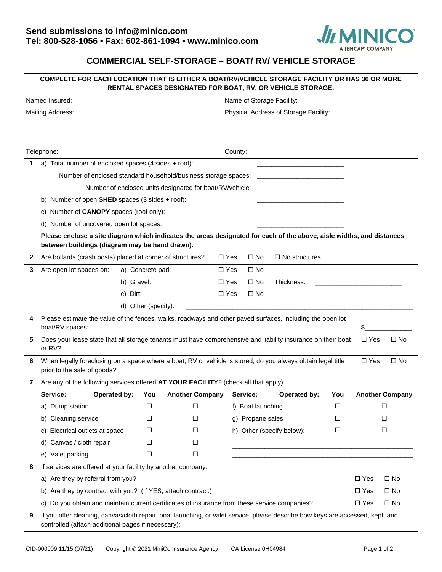

## **COMMERCIAL SELF-STORAGE – BOAT/ RV/ VEHICLE STORAGE**

| COMPLETE FOR EACH LOCATION THAT IS EITHER A BOAT/RV/VEHICLE STORAGE FACILITY OR HAS 30 OR MORE<br>RENTAL SPACES DESIGNATED FOR BOAT, RV, OR VEHICLE STORAGE. |                                                                                                                                                                         |                                                                                                                                                                                      |                  |                        |            |                                       |  |                      |        |            |                        |  |
|--------------------------------------------------------------------------------------------------------------------------------------------------------------|-------------------------------------------------------------------------------------------------------------------------------------------------------------------------|--------------------------------------------------------------------------------------------------------------------------------------------------------------------------------------|------------------|------------------------|------------|---------------------------------------|--|----------------------|--------|------------|------------------------|--|
| Named Insured:                                                                                                                                               |                                                                                                                                                                         |                                                                                                                                                                                      |                  |                        |            | Name of Storage Facility:             |  |                      |        |            |                        |  |
| Mailing Address:                                                                                                                                             |                                                                                                                                                                         |                                                                                                                                                                                      |                  |                        |            | Physical Address of Storage Facility: |  |                      |        |            |                        |  |
|                                                                                                                                                              |                                                                                                                                                                         |                                                                                                                                                                                      |                  |                        |            |                                       |  |                      |        |            |                        |  |
|                                                                                                                                                              |                                                                                                                                                                         |                                                                                                                                                                                      |                  |                        |            |                                       |  |                      |        |            |                        |  |
| Telephone:                                                                                                                                                   |                                                                                                                                                                         |                                                                                                                                                                                      |                  |                        |            | County:                               |  |                      |        |            |                        |  |
| 1                                                                                                                                                            | a) Total number of enclosed spaces (4 sides + roof):                                                                                                                    |                                                                                                                                                                                      |                  |                        |            |                                       |  |                      |        |            |                        |  |
|                                                                                                                                                              | Number of enclosed standard household/business storage spaces:                                                                                                          |                                                                                                                                                                                      |                  |                        |            |                                       |  |                      |        |            |                        |  |
|                                                                                                                                                              | Number of enclosed units designated for boat/RV/vehicle:                                                                                                                |                                                                                                                                                                                      |                  |                        |            |                                       |  |                      |        |            |                        |  |
|                                                                                                                                                              | b) Number of open SHED spaces $(3 \text{ sides} + \text{root})$ :                                                                                                       |                                                                                                                                                                                      |                  |                        |            |                                       |  |                      |        |            |                        |  |
|                                                                                                                                                              | c) Number of CANOPY spaces (roof only):                                                                                                                                 |                                                                                                                                                                                      |                  |                        |            |                                       |  |                      |        |            |                        |  |
|                                                                                                                                                              | d) Number of uncovered open lot spaces:                                                                                                                                 |                                                                                                                                                                                      |                  |                        |            |                                       |  |                      |        |            |                        |  |
|                                                                                                                                                              | Please enclose a site diagram which indicates the areas designated for each of the above, aisle widths, and distances<br>between buildings (diagram may be hand drawn). |                                                                                                                                                                                      |                  |                        |            |                                       |  |                      |        |            |                        |  |
| $\mathbf{2}$                                                                                                                                                 | Are bollards (crash posts) placed at corner of structures?                                                                                                              |                                                                                                                                                                                      |                  |                        | $\Box$ Yes | $\square$ No                          |  | $\Box$ No structures |        |            |                        |  |
| 3                                                                                                                                                            | Are open lot spaces on:                                                                                                                                                 |                                                                                                                                                                                      | a) Concrete pad: |                        | $\Box$ Yes | $\square$ No                          |  |                      |        |            |                        |  |
|                                                                                                                                                              |                                                                                                                                                                         | b) Gravel:                                                                                                                                                                           |                  |                        | $\Box$ Yes | $\square$ No                          |  | Thickness:           |        |            |                        |  |
|                                                                                                                                                              |                                                                                                                                                                         | c) Dirt:                                                                                                                                                                             |                  |                        | $\Box$ Yes | $\square$ No                          |  |                      |        |            |                        |  |
|                                                                                                                                                              |                                                                                                                                                                         | d) Other (specify):                                                                                                                                                                  |                  |                        |            |                                       |  |                      |        |            |                        |  |
| 4                                                                                                                                                            | Please estimate the value of the fences, walks, roadways and other paved surfaces, including the open lot<br>boat/RV spaces:<br>\$                                      |                                                                                                                                                                                      |                  |                        |            |                                       |  |                      |        |            |                        |  |
| 5                                                                                                                                                            | Does your lease state that all storage tenants must have comprehensive and liability insurance on their boat<br>$\Box$ Yes<br>$\square$ No<br>or RV?                    |                                                                                                                                                                                      |                  |                        |            |                                       |  |                      |        |            |                        |  |
| 6                                                                                                                                                            | When legally foreclosing on a space where a boat, RV or vehicle is stored, do you always obtain legal title<br>$\Box$ Yes<br>$\Box$ No<br>prior to the sale of goods?   |                                                                                                                                                                                      |                  |                        |            |                                       |  |                      |        |            |                        |  |
| 7                                                                                                                                                            | Are any of the following services offered AT YOUR FACILITY? (check all that apply)                                                                                      |                                                                                                                                                                                      |                  |                        |            |                                       |  |                      |        |            |                        |  |
|                                                                                                                                                              | Service:                                                                                                                                                                | Operated by:                                                                                                                                                                         | You              | <b>Another Company</b> |            | Service:                              |  | Operated by:         | You    |            | <b>Another Company</b> |  |
|                                                                                                                                                              | a) Dump station                                                                                                                                                         |                                                                                                                                                                                      | □                | □                      |            | f) Boat launching                     |  | □                    | □      |            |                        |  |
|                                                                                                                                                              | <b>Cleaning service</b><br>b)                                                                                                                                           |                                                                                                                                                                                      | □                | □                      |            | g) Propane sales                      |  | □                    | □      |            |                        |  |
|                                                                                                                                                              | Electrical outlets at space<br>C)                                                                                                                                       |                                                                                                                                                                                      | □                | □                      |            | h) Other (specify below):             |  | □                    | $\Box$ |            |                        |  |
|                                                                                                                                                              | Canvas / cloth repair<br>d)                                                                                                                                             |                                                                                                                                                                                      | □                | □                      |            |                                       |  |                      |        |            |                        |  |
|                                                                                                                                                              | e) Valet parking                                                                                                                                                        |                                                                                                                                                                                      | $\Box$           | $\Box$                 |            |                                       |  |                      |        |            |                        |  |
| 8                                                                                                                                                            | If services are offered at your facility by another company:                                                                                                            |                                                                                                                                                                                      |                  |                        |            |                                       |  |                      |        |            |                        |  |
|                                                                                                                                                              | a) Are they by referral from you?                                                                                                                                       |                                                                                                                                                                                      |                  |                        |            |                                       |  |                      |        | $\Box$ Yes | $\square$ No           |  |
|                                                                                                                                                              | b) Are they by contract with you? (If YES, attach contract.)                                                                                                            |                                                                                                                                                                                      |                  |                        |            |                                       |  |                      |        | $\Box$ Yes | $\square$ No           |  |
|                                                                                                                                                              | C)                                                                                                                                                                      | Do you obtain and maintain current certificates of insurance from these service companies?<br>$\Box$ Yes<br>$\Box$ No                                                                |                  |                        |            |                                       |  |                      |        |            |                        |  |
| 9                                                                                                                                                            |                                                                                                                                                                         | If you offer cleaning, canvas/cloth repair, boat launching, or valet service, please describe how keys are accessed, kept, and<br>controlled (attach additional pages if necessary): |                  |                        |            |                                       |  |                      |        |            |                        |  |